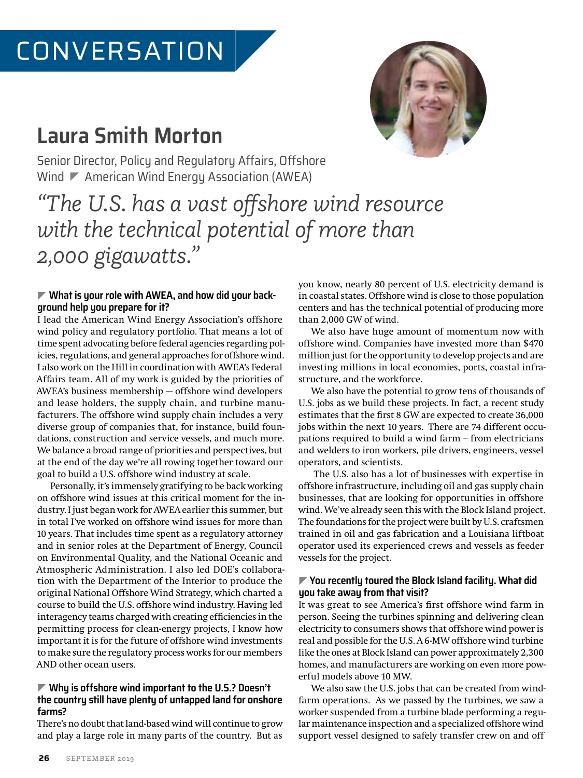# **Laura Smith Morton**



Senior Director, Policy and Regulatory Affairs, Offshore Wind  $\nabla$  American Wind Energy Association (AWEA)

*"The U.S. has a vast offshore wind resource with the technical potential of more than 2,000 gigawatts."*

# ] **What is your role with AWEA, and how did your background help you prepare for it?**

I lead the American Wind Energy Association's offshore wind policy and regulatory portfolio. That means a lot of time spent advocating before federal agencies regarding policies, regulations, and general approaches for offshore wind. I also work on the Hill in coordination with AWEA's Federal Affairs team. All of my work is guided by the priorities of AWEA's business membership — offshore wind developers and lease holders, the supply chain, and turbine manufacturers. The offshore wind supply chain includes a very diverse group of companies that, for instance, build foundations, construction and service vessels, and much more. We balance a broad range of priorities and perspectives, but at the end of the day we're all rowing together toward our goal to build a U.S. offshore wind industry at scale.

Personally, it's immensely gratifying to be back working on offshore wind issues at this critical moment for the industry. I just began work for AWEA earlier this summer, but in total I've worked on offshore wind issues for more than 10 years. That includes time spent as a regulatory attorney and in senior roles at the Department of Energy, Council on Environmental Quality, and the National Oceanic and Atmospheric Administration. I also led DOE's collaboration with the Department of the Interior to produce the original National Offshore Wind Strategy, which charted a course to build the U.S. offshore wind industry. Having led interagency teams charged with creating efficiencies in the permitting process for clean-energy projects, I know how important it is for the future of offshore wind investments to make sure the regulatory process works for our members AND other ocean users.

#### ] **Why is offshore wind important to the U.S.? Doesn't the country still have plenty of untapped land for onshore farms?**

There's no doubt that land-based wind will continue to grow and play a large role in many parts of the country. But as you know, nearly 80 percent of U.S. electricity demand is in coastal states. Offshore wind is close to those population centers and has the technical potential of producing more than 2,000 GW of wind.

We also have huge amount of momentum now with offshore wind. Companies have invested more than \$470 million just for the opportunity to develop projects and are investing millions in local economies, ports, coastal infrastructure, and the workforce.

We also have the potential to grow tens of thousands of U.S. jobs as we build these projects. In fact, a recent study estimates that the first 8 GW are expected to create 36,000 jobs within the next 10 years. There are 74 different occupations required to build a wind farm – from electricians and welders to iron workers, pile drivers, engineers, vessel operators, and scientists.

 The U.S. also has a lot of businesses with expertise in offshore infrastructure, including oil and gas supply chain businesses, that are looking for opportunities in offshore wind. We've already seen this with the Block Island project. The foundations for the project were built by U.S. craftsmen trained in oil and gas fabrication and a Louisiana liftboat operator used its experienced crews and vessels as feeder vessels for the project.

## ] **You recently toured the Block Island facility. What did you take away from that visit?**

It was great to see America's first offshore wind farm in person. Seeing the turbines spinning and delivering clean electricity to consumers shows that offshore wind power is real and possible for the U.S. A 6-MW offshore wind turbine like the ones at Block Island can power approximately 2,300 homes, and manufacturers are working on even more powerful models above 10 MW.

We also saw the U.S. jobs that can be created from windfarm operations. As we passed by the turbines, we saw a worker suspended from a turbine blade performing a regular maintenance inspection and a specialized offshore wind support vessel designed to safely transfer crew on and off